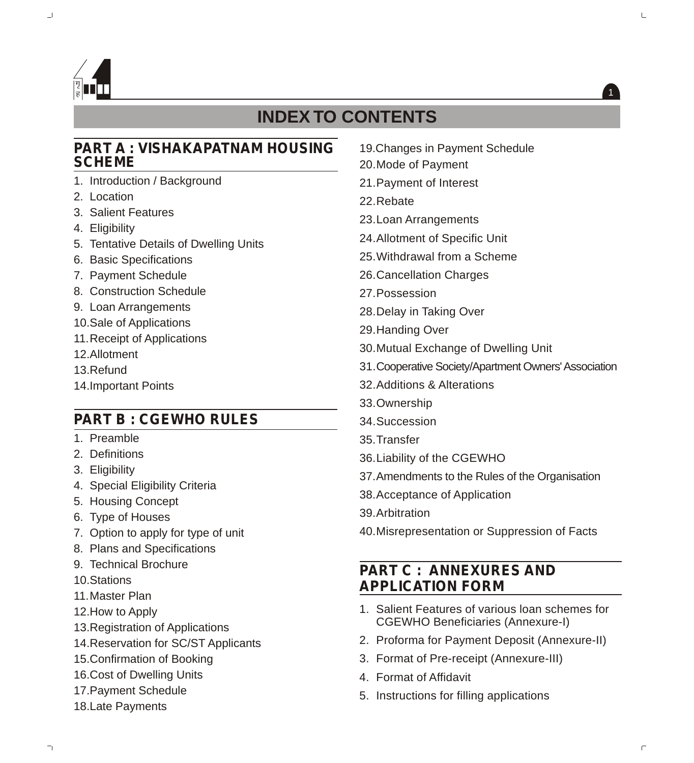

# **INDEX TO CONTENTS**

#### **PART A : VISHAKAPATNAM HOUSING SCHEME**

- 1. Introduction / Background
- 2. Location
- 3. Salient Features
- 4. Eligibility
- 5. Tentative Details of Dwelling Units
- 6. Basic Specifications
- 7. Payment Schedule
- 8. Construction Schedule
- 9. Loan Arrangements
- 10.Sale of Applications
- 11.Receipt of Applications
- 12.Allotment
- 13.Refund
- 14.Important Points

## **PART B : CGEWHO RULES**

- 1. Preamble
- 2. Definitions
- 3. Eligibility
- 4. Special Eligibility Criteria
- 5. Housing Concept
- 6. Type of Houses
- 7. Option to apply for type of unit
- 8. Plans and Specifications
- 9. Technical Brochure
- 10.Stations
- 11.Master Plan
- 12.How to Apply
- 13.Registration of Applications
- 14.Reservation for SC/ST Applicants
- 15.Confirmation of Booking
- 16.Cost of Dwelling Units
- 17.Payment Schedule
- 18.Late Payments
- 19.Changes in Payment Schedule
- 20.Mode of Payment
- 21.Payment of Interest
- 22.Rebate
- 23.Loan Arrangements
- 24.Allotment of Specific Unit
- 25.Withdrawal from a Scheme
- 26.Cancellation Charges
- 27.Possession
- 28.Delay in Taking Over
- 29.Handing Over
- 30.Mutual Exchange of Dwelling Unit
- 31.Cooperative Society/Apartment Owners'Association
- 32.Additions & Alterations
- 33.Ownership
- 34.Succession
- 35.Transfer
- 36.Liability of the CGEWHO
- 37.Amendments to the Rules of the Organisation
- 38.Acceptance of Application
- 39.Arbitration
- 40.Misrepresentation or Suppression of Facts

## **PART C : ANNEXURES AND APPLICATION FORM**

- 1. Salient Features of various loan schemes for CGEWHO Beneficiaries (Annexure-I)
- 2. Proforma for Payment Deposit (Annexure-II)
- 3. Format of Pre-receipt (Annexure-III)
- 4. Format of Affidavit
- 5. Instructions for filling applications

1

L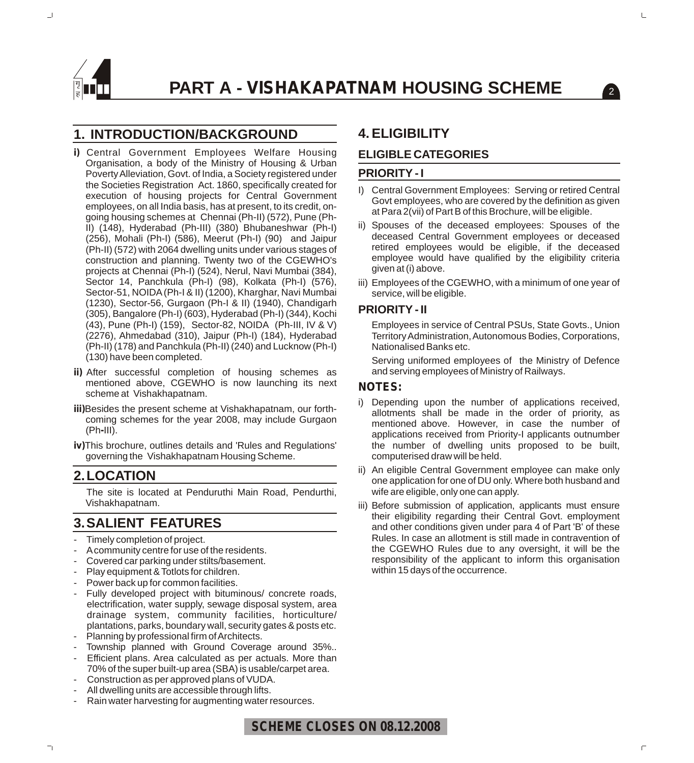

#### **1. INTRODUCTION/BACKGROUND**

- **i)** Central Government Employees Welfare Housing Organisation, a body of the Ministry of Housing & Urban Poverty Alleviation, Govt. of India, a Society registered under the Societies Registration Act. 1860, specifically created for execution of housing projects for Central Government employees, on all India basis, has at present, to its credit, ongoing housing schemes at Chennai (Ph-II) (572), Pune (Ph-II) (148), Hyderabad (Ph-III) (380) Bhubaneshwar (Ph-I) (256), Mohali (Ph-I) (586), Meerut (Ph-I) (90) and Jaipur (Ph-II) (572) with 2064 dwelling units under various stages of construction and planning. Twenty two of the CGEWHO's projects at Chennai (Ph-I) (524), Nerul, Navi Mumbai (384), Sector 14, Panchkula (Ph-I) (98), Kolkata (Ph-I) (576), Sector-51, NOIDA(Ph-I & II) (1200), Kharghar, Navi Mumbai (1230), Sector-56, Gurgaon (Ph-I & II) (1940), Chandigarh (305), Bangalore (Ph-I) (603), Hyderabad (Ph-I) (344), Kochi (43), Pune (Ph-I) (159), Sector-82, NOIDA (Ph-III, IV & V) (2276), Ahmedabad (310), Jaipur (Ph-I) (184), Hyderabad (Ph-II) (178) and Panchkula (Ph-II) (240) and Lucknow (Ph-I) (130) have been completed.
- **ii)** After successful completion of housing schemes as mentioned above, CGEWHO is now launching its next scheme at Vishakhapatnam.
- **iii)**Besides the present scheme at Vishakhapatnam, our forthcoming schemes for the year 2008, may include Gurgaon (Ph**-**III).
- **iv)**This brochure, outlines details and 'Rules and Regulations' governing the Vishakhapatnam Housing Scheme.

#### **2.LOCATION**

The site is located at Penduruthi Main Road, Pendurthi, Vishakhapatnam.

### **3.SALIENT FEATURES**

- Timely completion of project.
- Acommunity centre for use of the residents.
- Covered car parking under stilts/basement.
- Play equipment & Totlots for children.
- Power back up for common facilities.
- Fully developed project with bituminous/ concrete roads, electrification, water supply, sewage disposal system, area drainage system, community facilities, horticulture/ plantations, parks, boundary wall, security gates & posts etc. Planning by professional firm of Architects.
- Township planned with Ground Coverage around 35%...
- Efficient plans. Area calculated as per actuals. More than 70% of the super built-up area (SBA) is usable/carpet area.
- Construction as per approved plans of VUDA.
- All dwelling units are accessible through lifts.
- Rain water harvesting for augmenting water resources.

#### **4.ELIGIBILITY**

#### **ELIGIBLE CATEGORIES**

#### **PRIORITY - I**

I) Central Government Employees: Serving or retired Central Govt employees, who are covered by the definition as given at Para 2(vii) of Part B of this Brochure, will be eligible.

 $\sqrt{2}$ 

- ii) Spouses of the deceased employees: Spouses of the deceased Central Government employees or deceased retired employees would be eligible, if the deceased employee would have qualified by the eligibility criteria given at (i) above.
- iii) Employees of the CGEWHO, with a minimum of one year of service, will be eligible.

#### **PRIORITY - II**

Employees in service of Central PSUs, State Govts., Union Territory Administration, Autonomous Bodies, Corporations, Nationalised Banks etc.

Serving uniformed employees of the Ministry of Defence and serving employees of Ministry of Railways.

#### **NOTES:**

- i) Depending upon the number of applications received, allotments shall be made in the order of priority, as mentioned above. However, in case the number of applications received from Priority-I applicants outnumber the number of dwelling units proposed to be built, computerised draw will be held.
- ii) An eligible Central Government employee can make only one application for one of DU only. Where both husband and wife are eligible, only one can apply.
- iii) Before submission of application, applicants must ensure their eligibility regarding their Central Govt. employment and other conditions given under para 4 of Part 'B' of these Rules. In case an allotment is still made in contravention of the CGEWHO Rules due to any oversight, it will be the responsibility of the applicant to inform this organisation within 15 days of the occurrence.

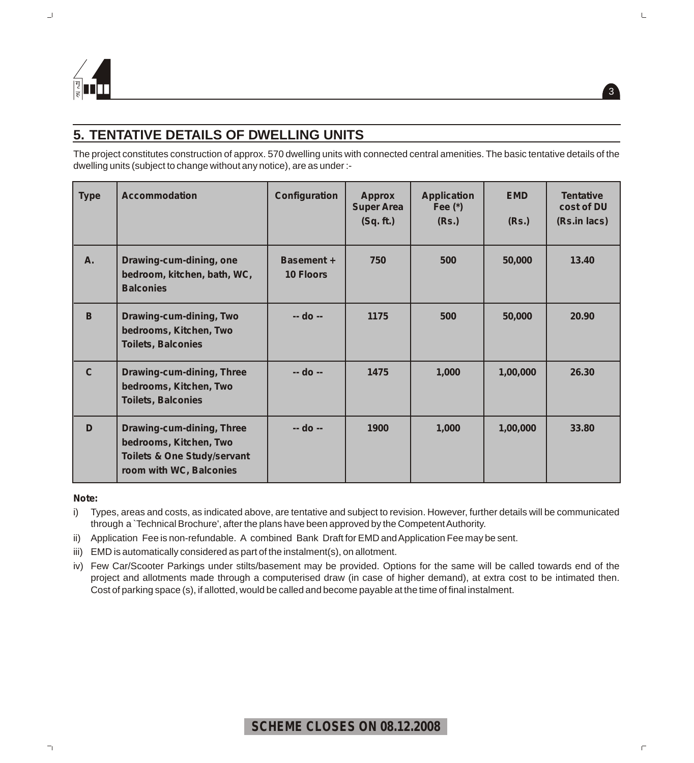

### **5. TENTATIVE DETAILS OF DWELLING UNITS**

The project constitutes construction of approx. 570 dwelling units with connected central amenities. The basic tentative details of the dwelling units (subject to change without any notice), are as under :-

| <b>Type</b>  | <b>Accommodation</b>                                                                                                     | Configuration                         | <b>Approx</b><br><b>Super Area</b><br>(Sq. ft.) | <b>Application</b><br>Fee $(*)$<br>(Rs.) | <b>EMD</b><br>(Rs.) | <b>Tentative</b><br>cost of DU<br>(Rs.in lacs) |
|--------------|--------------------------------------------------------------------------------------------------------------------------|---------------------------------------|-------------------------------------------------|------------------------------------------|---------------------|------------------------------------------------|
| A.           | Drawing-cum-dining, one<br>bedroom, kitchen, bath, WC,<br><b>Balconies</b>                                               | <b>Basement +</b><br><b>10 Floors</b> | 750                                             | 500                                      | 50,000              | 13.40                                          |
| B            | Drawing-cum-dining, Two<br>bedrooms, Kitchen, Two<br><b>Toilets, Balconies</b>                                           | $-$ do $-$                            | 1175                                            | 500                                      | 50,000              | 20.90                                          |
| $\mathbf{C}$ | Drawing-cum-dining, Three<br>bedrooms, Kitchen, Two<br><b>Toilets, Balconies</b>                                         | -- do --                              | 1475                                            | 1,000                                    | 1,00,000            | 26.30                                          |
| D            | Drawing-cum-dining, Three<br>bedrooms, Kitchen, Two<br><b>Toilets &amp; One Study/servant</b><br>room with WC, Balconies | -- do --                              | 1900                                            | 1,000                                    | 1,00,000            | 33.80                                          |

*Note:*

i) Types, areas and costs, as indicated above, are tentative and subject to revision. However, further details will be communicated through a `Technical Brochure', after the plans have been approved by the Competent Authority.

ii) Application Fee is non-refundable. A combined Bank Draft for EMD and Application Fee may be sent.

iii) EMD is automatically considered as part of the instalment(s), on allotment.

iv) Few Car/Scooter Parkings under stilts/basement may be provided. Options for the same will be called towards end of the project and allotments made through a computerised draw (in case of higher demand), at extra cost to be intimated then. Cost of parking space (s), if allotted, would be called and become payable at the time of final instalment.

### **SCHEME CLOSES ON 08.12.2008**

3

 $\sqsubseteq$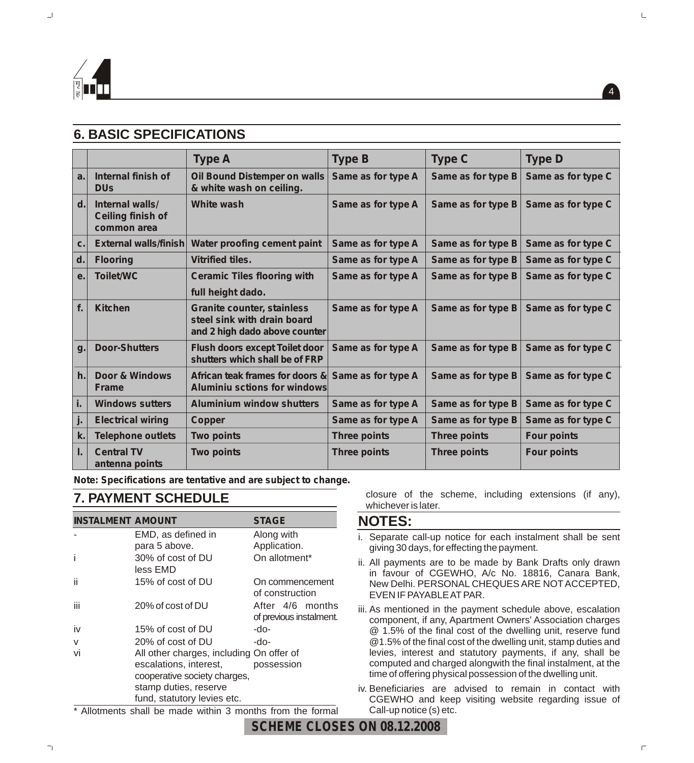

### **6. BASIC SPECIFICATIONS**

|                |                                                            | <b>Type A</b>                                                                                     | <b>Type B</b>       | <b>Type C</b>       | <b>Type D</b>      |
|----------------|------------------------------------------------------------|---------------------------------------------------------------------------------------------------|---------------------|---------------------|--------------------|
| a.             | Internal finish of<br><b>DU<sub>s</sub></b>                | Oil Bound Distemper on walls<br>& white wash on ceiling.                                          | Same as for type A  | Same as for type B  | Same as for type C |
| d.             | Internal walls/<br><b>Ceiling finish of</b><br>common area | <b>White wash</b>                                                                                 | Same as for type A  | Same as for type B  | Same as for type C |
| C <sub>1</sub> | External walls/finish                                      | Water proofing cement paint                                                                       | Same as for type A  | Same as for type B  | Same as for type C |
| d.             | <b>Flooring</b>                                            | <b>Vitrified tiles.</b>                                                                           | Same as for type A  | Same as for type B  | Same as for type C |
| е.             | <b>Toilet/WC</b>                                           | <b>Ceramic Tiles flooring with</b><br>full height dado.                                           | Same as for type A  | Same as for type B  | Same as for type C |
| f.             | <b>Kitchen</b>                                             | <b>Granite counter, stainless</b><br>steel sink with drain board<br>and 2 high dado above counter | Same as for type A  | Same as for type B  | Same as for type C |
| g.             | <b>Door-Shutters</b>                                       | <b>Flush doors except Toilet door</b><br>shutters which shall be of FRP                           | Same as for type A  | Same as for type B  | Same as for type C |
| h.             | Door & Windows<br><b>Frame</b>                             | African teak frames for doors &<br><b>Aluminiu sctions for windows</b>                            | Same as for type A  | Same as for type B  | Same as for type C |
| i.             | <b>Windows sutters</b>                                     | <b>Aluminium window shutters</b>                                                                  | Same as for type A  | Same as for type B  | Same as for type C |
| j.             | <b>Electrical wiring</b>                                   | <b>Copper</b>                                                                                     | Same as for type A  | Same as for type B  | Same as for type C |
| k.             | <b>Telephone outlets</b>                                   | <b>Two points</b>                                                                                 | <b>Three points</b> | <b>Three points</b> | <b>Four points</b> |
| L.             | <b>Central TV</b><br>antenna points                        | <b>Two points</b>                                                                                 | <b>Three points</b> | <b>Three points</b> | <b>Four points</b> |

**Note: Specifications are tentative and are subject to change.**

### **7. PAYMENT SCHEDULE**

| <b>INSTALMENT AMOUNT</b> |                                          | <b>STAGE</b>                                |
|--------------------------|------------------------------------------|---------------------------------------------|
|                          | EMD, as defined in                       | Along with                                  |
|                          | para 5 above.                            | Application.                                |
| i                        | 30% of cost of DU<br>less EMD            | On allotment*                               |
| ii                       | 15% of cost of DU                        | On commencement<br>of construction          |
| iii                      | 20% of cost of DU                        | After 4/6 months<br>of previous instalment. |
| iv                       | 15% of cost of DU                        | -do-                                        |
| $\vee$                   | 20% of cost of DU                        | -do-                                        |
| vi                       | All other charges, including On offer of |                                             |
|                          | escalations, interest,                   | possession                                  |
|                          | cooperative society charges,             |                                             |
|                          | stamp duties, reserve                    |                                             |
|                          | fund, statutory levies etc.              |                                             |

\* Allotments shall be made within 3 months from the formal

closure of the scheme, including extensions (if any), whichever is later.

#### **NOTES:**

- i. Separate call-up notice for each instalment shall be sent giving 30 days, for effecting the payment.
- ii. All payments are to be made by Bank Drafts only drawn in favour of CGEWHO, A/c No. 18816, Canara Bank, New Delhi. PERSONAL CHEQUES ARE NOTACCEPTED, EVEN IF PAYABLE ATPAR.
- iii. As mentioned in the payment schedule above, escalation component, if any, Apartment Owners' Association charges @ 1.5% of the final cost of the dwelling unit, reserve fund @1.5% of the final cost of the dwelling unit, stamp duties and levies, interest and statutory payments, if any, shall be computed and charged alongwith the final instalment, at the time of offering physical possession of the dwelling unit.

iv. Beneficiaries are advised to remain in contact with CGEWHO and keep visiting website regarding issue of Call-up notice (s) etc.



4

 $\Box$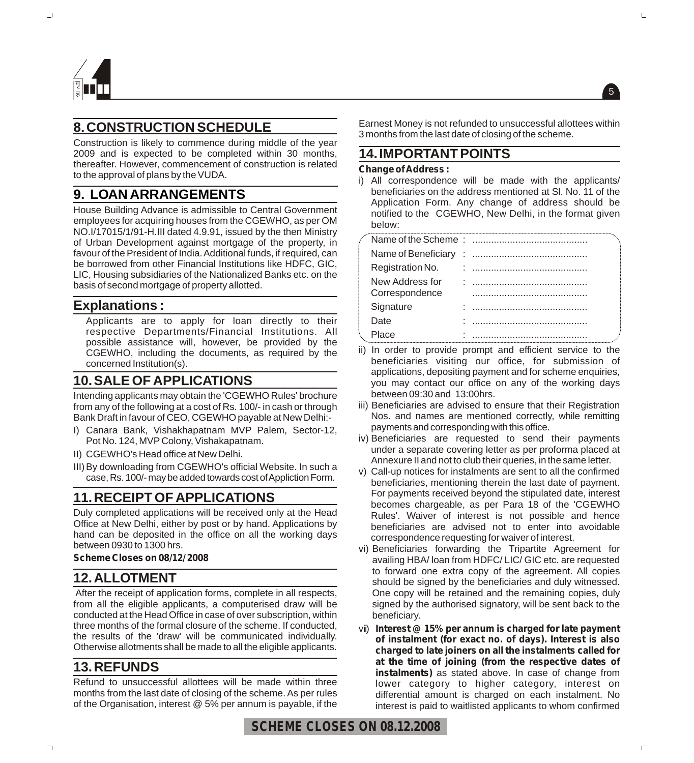

### **8.CONSTRUCTION SCHEDULE**

Construction is likely to commence during middle of the year 2009 and is expected to be completed within 30 months, thereafter. However, commencement of construction is related to the approval of plans by the VUDA.

### **9. LOAN ARRANGEMENTS**

House Building Advance is admissible to Central Government employees for acquiring houses from the CGEWHO, as per OM NO.I/17015/1/91-H.III dated 4.9.91, issued by the then Ministry of Urban Development against mortgage of the property, in favour of the President of India. Additional funds, if required, can be borrowed from other Financial Institutions like HDFC, GIC, LIC, Housing subsidiaries of the Nationalized Banks etc. on the basis of second mortgage of property allotted.

#### **Explanations :**

Applicants are to apply for loan directly to their respective Departments/Financial Institutions. All possible assistance will, however, be provided by the CGEWHO, including the documents, as required by the concerned Institution(s).

#### **10.SALE OF APPLICATIONS**

Intending applicants may obtain the 'CGEWHO Rules' brochure from any of the following at a cost of Rs. 100/- in cash or through Bank Draft in favour of CEO, CGEWHO payable at New Delhi:-

- I) Canara Bank, Vishakhapatnam MVP Palem, Sector-12, Pot No. 124, MVP Colony, Vishakapatnam.
- II) CGEWHO's Head office at New Delhi.
- III) By downloading from CGEWHO's official Website. In such a case, Rs. 100/- may be added towards cost of Appliction Form.

#### **11.RECEIPT OF APPLICATIONS**

Duly completed applications will be received only at the Head Office at New Delhi, either by post or by hand. Applications by hand can be deposited in the office on all the working days between 0930 to 1300 hrs.

#### **Scheme Closes on 08/12/ 2008**

#### **12.ALLOTMENT**

After the receipt of application forms, complete in all respects, from all the eligible applicants, a computerised draw will be conducted at the Head Office in case of over subscription, within three months of the formal closure of the scheme. If conducted, the results of the 'draw' will be communicated individually. Otherwise allotments shall be made to all the eligible applicants.

#### **13.REFUNDS**

Refund to unsuccessful allottees will be made within three months from the last date of closing of the scheme. As per rules of the Organisation, interest @ 5% per annum is payable, if the Earnest Money is not refunded to unsuccessful allottees within 3 months from the last date of closing of the scheme.

#### **14.IMPORTANT POINTS**

#### **Change of Address :**

i) All correspondence will be made with the applicants/ beneficiaries on the address mentioned at Sl. No. 11 of the Application Form. Any change of address should be notified to the CGEWHO, New Delhi, in the format given below:

| Registration No. |  |
|------------------|--|
| New Address for  |  |
| Correspondence   |  |
| Signature        |  |
| Date             |  |
| Place            |  |

- ii) In order to provide prompt and efficient service to the beneficiaries visiting our office, for submission of applications, depositing payment and for scheme enquiries, you may contact our office on any of the working days between 09:30 and 13:00hrs.
- iii) Beneficiaries are advised to ensure that their Registration Nos. and names are mentioned correctly, while remitting payments and corresponding with this office.
- iv) Beneficiaries are requested to send their payments under a separate covering letter as per proforma placed at Annexure II and not to club their queries, in the same letter.
- v) Call-up notices for instalments are sent to all the confirmed beneficiaries, mentioning therein the last date of payment. For payments received beyond the stipulated date, interest becomes chargeable, as per Para 18 of the 'CGEWHO Rules'. Waiver of interest is not possible and hence beneficiaries are advised not to enter into avoidable correspondence requesting for waiver of interest.
- vi) Beneficiaries forwarding the Tripartite Agreement for availing HBA/ loan from HDFC/ LIC/ GIC etc. are requested to forward one extra copy of the agreement. All copies should be signed by the beneficiaries and duly witnessed. One copy will be retained and the remaining copies, duly signed by the authorised signatory, will be sent back to the beneficiary.
- vii) **Interest @ 15% per annum is charged for late payment of instalment (for exact no. of days). Interest is also charged to late joiners on all the instalments called for at the time of joining (from the respective dates of instalments)** as stated above. In case of change from lower category to higher category, interest on differential amount is charged on each instalment. No interest is paid to waitlisted applicants to whom confirmed



5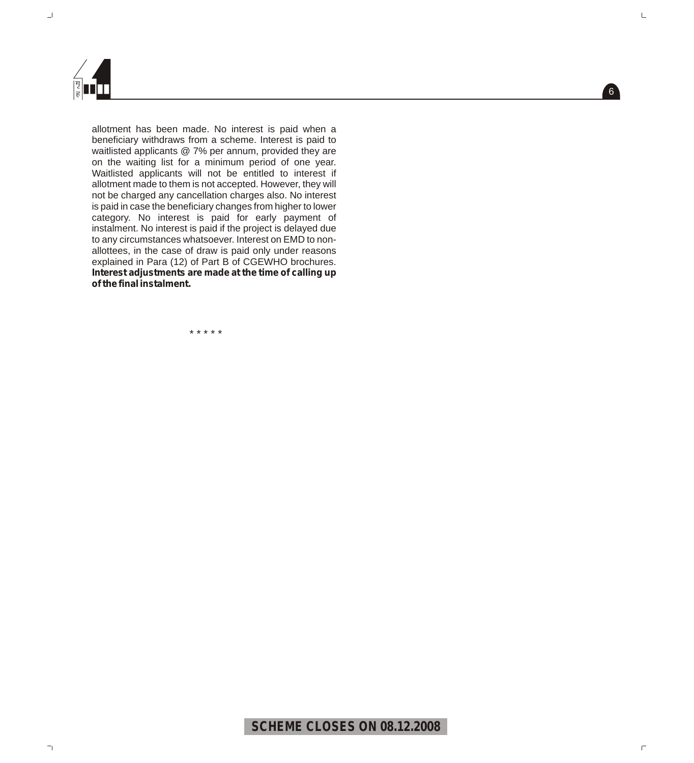

allotment has been made. No interest is paid when a beneficiary withdraws from a scheme. Interest is paid to waitlisted applicants @ 7% per annum, provided they are on the waiting list for a minimum period of one year. Waitlisted applicants will not be entitled to interest if allotment made to them is not accepted. However, they will not be charged any cancellation charges also. No interest is paid in case the beneficiary changes from higher to lower category. No interest is paid for early payment of instalment. No interest is paid if the project is delayed due to any circumstances whatsoever. Interest on EMD to nonallottees, in the case of draw is paid only under reasons explained in Para (12) of Part B of CGEWHO brochures. **Interest adjustments are made at the time of calling up of the final instalment.**

\* \* \* \* \*

### **SCHEME CLOSES ON 08.12.2008**

6

 $\sqsubseteq$ 

 $\Box$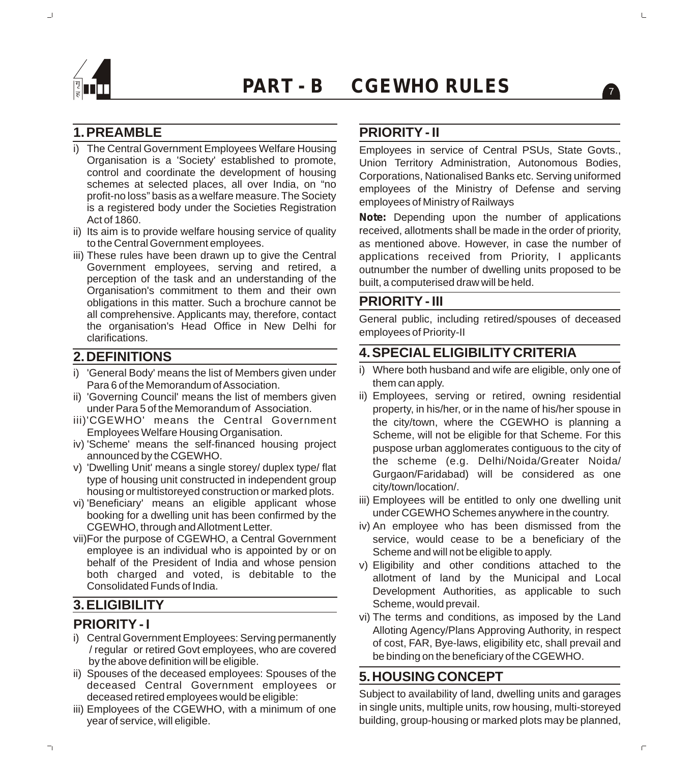

### **1.PREAMBLE**

- i) The Central Government Employees Welfare Housing Organisation is a 'Society' established to promote, control and coordinate the development of housing schemes at selected places, all over India, on "no profit-no loss" basis as a welfare measure. The Society is a registered body under the Societies Registration Act of 1860.
- ii) Its aim is to provide welfare housing service of quality to the Central Government employees.
- iii) These rules have been drawn up to give the Central Government employees, serving and retired, a perception of the task and an understanding of the Organisation's commitment to them and their own obligations in this matter. Such a brochure cannot be all comprehensive. Applicants may, therefore, contact the organisation's Head Office in New Delhi for clarifications.

#### **2.DEFINITIONS**

- i) 'General Body' means the list of Members given under Para 6 of the Memorandum of Association.
- ii) 'Governing Council' means the list of members given under Para 5 of the Memorandum of Association.
- iii)'CGEWHO' means the Central Government Employees Welfare Housing Organisation.
- iv) 'Scheme' means the self-financed housing project announced by the CGEWHO.
- v) 'Dwelling Unit' means a single storey/ duplex type/ flat type of housing unit constructed in independent group housing or multistoreyed construction or marked plots.
- vi) 'Beneficiary' means an eligible applicant whose booking for a dwelling unit has been confirmed by the CGEWHO, through and Allotment Letter.
- vii)For the purpose of CGEWHO, a Central Government employee is an individual who is appointed by or on behalf of the President of India and whose pension both charged and voted, is debitable to the Consolidated Funds of India.

## **3.ELIGIBILITY**

#### **PRIORITY - I**

- i) Central Government Employees: Serving permanently / regular or retired Govt employees, who are covered by the above definition will be eligible.
- ii) Spouses of the deceased employees: Spouses of the deceased Central Government employees or deceased retired employees would be eligible:
- iii) Employees of the CGEWHO, with a minimum of one year of service, will eligible.

### **PRIORITY - II**

Employees in service of Central PSUs, State Govts., Union Territory Administration, Autonomous Bodies, Corporations, Nationalised Banks etc. Serving uniformed employees of the Ministry of Defense and serving employees of Ministry of Railways

**Note:** Depending upon the number of applications received, allotments shall be made in the order of priority, as mentioned above. However, in case the number of applications received from Priority, I applicants outnumber the number of dwelling units proposed to be built, a computerised draw will be held.

#### **PRIORITY - III**

General public, including retired/spouses of deceased employees of Priority-II

#### **4.SPECIAL ELIGIBILITY CRITERIA**

- i) Where both husband and wife are eligible, only one of them can apply.
- ii) Employees, serving or retired, owning residential property, in his/her, or in the name of his/her spouse in the city/town, where the CGEWHO is planning a Scheme, will not be eligible for that Scheme. For this puspose urban agglomerates contiguous to the city of the scheme (e.g. Delhi/Noida/Greater Noida/ Gurgaon/Faridabad) will be considered as one city/town/location/.
- iii) Employees will be entitled to only one dwelling unit under CGEWHO Schemes anywhere in the country.
- iv) An employee who has been dismissed from the service, would cease to be a beneficiary of the Scheme and will not be eligible to apply.
- v) Eligibility and other conditions attached to the allotment of land by the Municipal and Local Development Authorities, as applicable to such Scheme, would prevail.
- vi) The terms and conditions, as imposed by the Land Alloting Agency/Plans Approving Authority, in respect of cost, FAR, Bye-laws, eligibility etc, shall prevail and be binding on the beneficiary of the CGEWHO.

#### **5.HOUSING CONCEPT**

Subject to availability of land, dwelling units and garages in single units, multiple units, row housing, multi-storeyed building, group-housing or marked plots may be planned,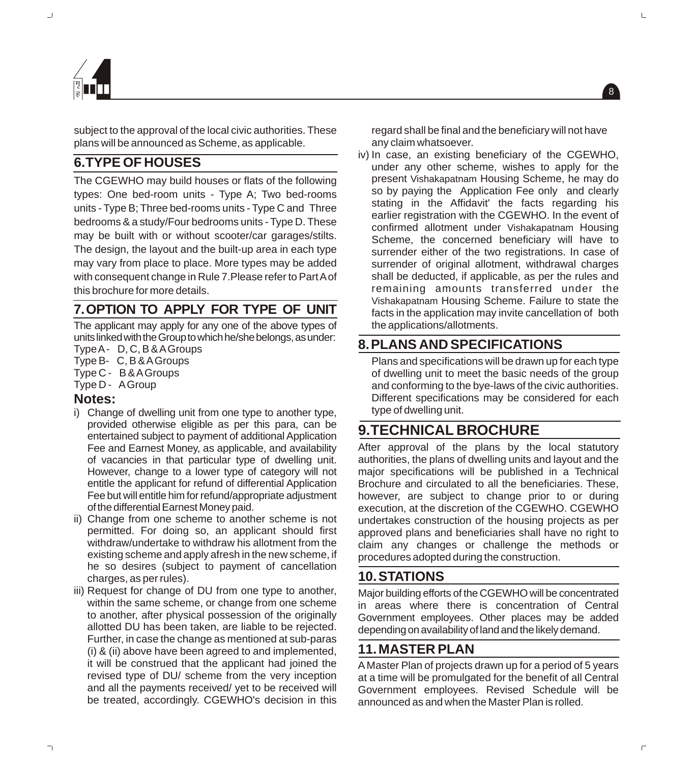



subject to the approval of the local civic authorities. These plans will be announced as Scheme, as applicable.

## **6.TYPE OF HOUSES**

The CGEWHO may build houses or flats of the following types: One bed-room units - Type A; Two bed-rooms units - Type B; Three bed-rooms units - Type C and Three bedrooms & a study/Four bedrooms units - Type D. These may be built with or without scooter/car garages/stilts. The design, the layout and the built-up area in each type may vary from place to place. More types may be added with consequent change in Rule 7.Please refer to Part Aof this brochure for more details.

## **7.OPTION TO APPLY FOR TYPE OF UNIT**

The applicant may apply for any one of the above types of units linked with the Group to which he/she belongs, as under:

- Type A- D, C, B & AGroups
- Type B- C, B & AGroups Type C - B & AGroups
- 
- Type D AGroup

#### **Notes:**

- i) Change of dwelling unit from one type to another type, provided otherwise eligible as per this para, can be entertained subject to payment of additional Application Fee and Earnest Money, as applicable, and availability of vacancies in that particular type of dwelling unit. However, change to a lower type of category will not entitle the applicant for refund of differential Application Fee but will entitle him for refund/appropriate adjustment of the differential Earnest Money paid.
- ii) Change from one scheme to another scheme is not permitted. For doing so, an applicant should first withdraw/undertake to withdraw his allotment from the existing scheme and apply afresh in the new scheme, if he so desires (subject to payment of cancellation charges, as per rules).
- iii) Request for change of DU from one type to another, within the same scheme, or change from one scheme to another, after physical possession of the originally allotted DU has been taken, are liable to be rejected. Further, in case the change as mentioned at sub-paras (i) & (ii) above have been agreed to and implemented, it will be construed that the applicant had joined the revised type of DU/ scheme from the very inception and all the payments received/ yet to be received will be treated, accordingly. CGEWHO's decision in this

regard shall be final and the beneficiary will not have any claim whatsoever.

 $\left| \begin{smallmatrix} 8 \end{smallmatrix} \right|$ 

iv) In case, an existing beneficiary of the CGEWHO, under any other scheme, wishes to apply for the present Vishakapatnam Housing Scheme, he may do so by paying the Application Fee only and clearly stating in the Affidavit' the facts regarding his earlier registration with the CGEWHO. In the event of confirmed allotment under Vishakapatnam Housing Scheme, the concerned beneficiary will have to surrender either of the two registrations. In case of surrender of original allotment, withdrawal charges shall be deducted, if applicable, as per the rules and remaining amounts transferred under the Vishakapatnam Housing Scheme. Failure to state the facts in the application may invite cancellation of both the applications/allotments.

### **8.PLANS AND SPECIFICATIONS**

Plans and specifications will be drawn up for each type of dwelling unit to meet the basic needs of the group and conforming to the bye-laws of the civic authorities. Different specifications may be considered for each type of dwelling unit.

## **9.TECHNICAL BROCHURE**

After approval of the plans by the local statutory authorities, the plans of dwelling units and layout and the major specifications will be published in a Technical Brochure and circulated to all the beneficiaries. These, however, are subject to change prior to or during execution, at the discretion of the CGEWHO. CGEWHO undertakes construction of the housing projects as per approved plans and beneficiaries shall have no right to claim any changes or challenge the methods or procedures adopted during the construction.

### **10.STATIONS**

Major building efforts of the CGEWHO will be concentrated in areas where there is concentration of Central Government employees. Other places may be added depending on availability of land and the likely demand.

#### **11.MASTER PLAN**

A Master Plan of projects drawn up for a period of 5 years at a time will be promulgated for the benefit of all Central Government employees. Revised Schedule will be announced as and when the Master Plan is rolled.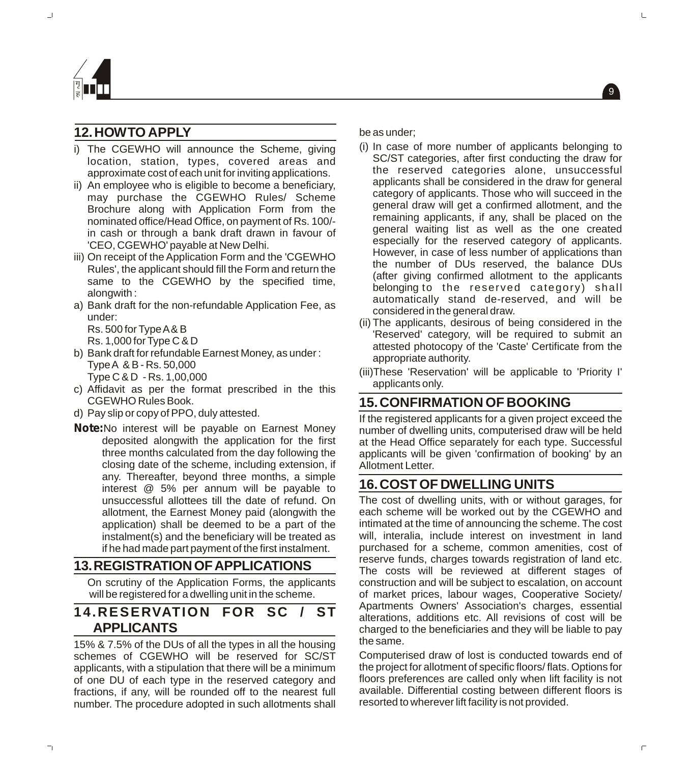

### **12.HOW TO APPLY**

- i) The CGEWHO will announce the Scheme, giving location, station, types, covered areas and approximate cost of each unit for inviting applications.
- ii) An employee who is eligible to become a beneficiary, may purchase the CGEWHO Rules/ Scheme Brochure along with Application Form from the nominated office/Head Office, on payment of Rs. 100/ in cash or through a bank draft drawn in favour of 'CEO, CGEWHO' payable at New Delhi.
- iii) On receipt of the Application Form and the 'CGEWHO Rules', the applicant should fill the Form and return the same to the CGEWHO by the specified time, alongwith :
- a) Bank draft for the non-refundable Application Fee, as under:

Rs. 500 for Type A& B Rs. 1,000 for Type C & D

- b) Bank draft for refundable Earnest Money, as under : Type A & B - Rs. 50,000 Type C & D - Rs. 1,00,000
- c) Affidavit as per the format prescribed in the this CGEWHO Rules Book.
- d) Pay slip or copy of PPO, duly attested.
- **Note:**No interest will be payable on Earnest Money deposited alongwith the application for the first three months calculated from the day following the closing date of the scheme, including extension, if any. Thereafter, beyond three months, a simple interest @ 5% per annum will be payable to unsuccessful allottees till the date of refund. On allotment, the Earnest Money paid (alongwith the application) shall be deemed to be a part of the instalment(s) and the beneficiary will be treated as if he had made part payment of the first instalment.

#### **13.REGISTRATIONOFAPPLICATIONS**

On scrutiny of the Application Forms, the applicants will be registered for a dwelling unit in the scheme.

### **14.RESERVATION FOR SC / ST APPLICANTS**

15% & 7.5% of the DUs of all the types in all the housing schemes of CGEWHO will be reserved for SC/ST applicants, with a stipulation that there will be a minimum of one DU of each type in the reserved category and fractions, if any, will be rounded off to the nearest full number. The procedure adopted in such allotments shall be as under;

(i) In case of more number of applicants belonging to SC/ST categories, after first conducting the draw for the reserved categories alone, unsuccessful applicants shall be considered in the draw for general category of applicants. Those who will succeed in the general draw will get a confirmed allotment, and the remaining applicants, if any, shall be placed on the general waiting list as well as the one created especially for the reserved category of applicants. However, in case of less number of applications than the number of DUs reserved, the balance DUs (after giving confirmed allotment to the applicants belonging to the reserved category) shall automatically stand de-reserved, and will be considered in the general draw.

9

- (ii) The applicants, desirous of being considered in the 'Reserved' category, will be required to submit an attested photocopy of the 'Caste' Certificate from the appropriate authority.
- (iii)These 'Reservation' will be applicable to 'Priority I' applicants only.

#### **15.CONFIRMATION OF BOOKING**

If the registered applicants for a given project exceed the number of dwelling units, computerised draw will be held at the Head Office separately for each type. Successful applicants will be given 'confirmation of booking' by an Allotment Letter.

#### **16.COST OF DWELLING UNITS**

The cost of dwelling units, with or without garages, for each scheme will be worked out by the CGEWHO and intimated at the time of announcing the scheme. The cost will, interalia, include interest on investment in land purchased for a scheme, common amenities, cost of reserve funds, charges towards registration of land etc. The costs will be reviewed at different stages of construction and will be subject to escalation, on account of market prices, labour wages, Cooperative Society/ Apartments Owners' Association's charges, essential alterations, additions etc. All revisions of cost will be charged to the beneficiaries and they will be liable to pay the same.

Computerised draw of lost is conducted towards end of the project for allotment of specific floors/ flats. Options for floors preferences are called only when lift facility is not available. Differential costing between different floors is resorted to wherever lift facility is not provided.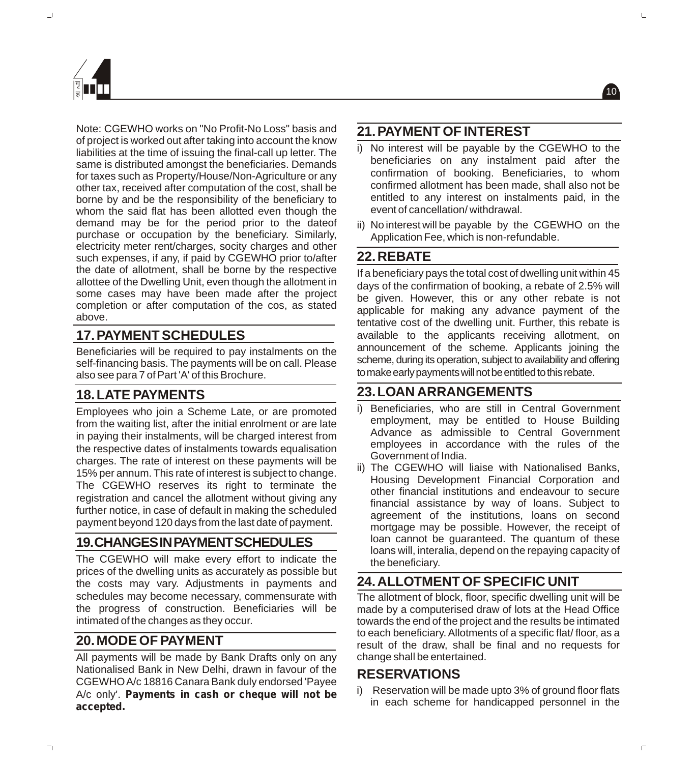



Note: CGEWHO works on "No Profit-No Loss" basis and of project is worked out after taking into account the know liabilities at the time of issuing the final-call up letter. The same is distributed amongst the beneficiaries. Demands for taxes such as Property/House/Non-Agriculture or any other tax, received after computation of the cost, shall be borne by and be the responsibility of the beneficiary to whom the said flat has been allotted even though the demand may be for the period prior to the dateof purchase or occupation by the beneficiary. Similarly, electricity meter rent/charges, socity charges and other such expenses, if any, if paid by CGEWHO prior to/after the date of allotment, shall be borne by the respective allottee of the Dwelling Unit, even though the allotment in some cases may have been made after the project completion or after computation of the cos, as stated above.

## **17.PAYMENT SCHEDULES**

Beneficiaries will be required to pay instalments on the self-financing basis. The payments will be on call. Please also see para 7 of Part 'A' of this Brochure.

### **18.LATE PAYMENTS**

Employees who join a Scheme Late, or are promoted from the waiting list, after the initial enrolment or are late in paying their instalments, will be charged interest from the respective dates of instalments towards equalisation charges. The rate of interest on these payments will be 15% per annum. This rate of interest is subject to change. The CGEWHO reserves its right to terminate the registration and cancel the allotment without giving any further notice, in case of default in making the scheduled payment beyond 120 days from the last date of payment.

### **19.CHANGESINPAYMENTSCHEDULES**

The CGEWHO will make every effort to indicate the prices of the dwelling units as accurately as possible but the costs may vary. Adjustments in payments and schedules may become necessary, commensurate with the progress of construction. Beneficiaries will be intimated of the changes as they occur.

### **20.MODE OF PAYMENT**

All payments will be made by Bank Drafts only on any Nationalised Bank in New Delhi, drawn in favour of the CGEWHO A/c 18816 Canara Bank duly endorsed 'Payee A/c only'. **Payments in cash or cheque will not be accepted.** 

### **21.PAYMENT OF INTEREST**

i) No interest will be payable by the CGEWHO to the beneficiaries on any instalment paid after the confirmation of booking. Beneficiaries, to whom confirmed allotment has been made, shall also not be entitled to any interest on instalments paid, in the event of cancellation/ withdrawal.

10

ii) No interest will be payable by the CGEWHO on the Application Fee, which is non-refundable.

### **22.REBATE**

If a beneficiary pays the total cost of dwelling unit within 45 days of the confirmation of booking, a rebate of 2.5% will be given. However, this or any other rebate is not applicable for making any advance payment of the tentative cost of the dwelling unit. Further, this rebate is available to the applicants receiving allotment, on announcement of the scheme. Applicants joining the scheme, during its operation, subject to availability and offering to make early payments will not be entitled to this rebate.

### **23.LOAN ARRANGEMENTS**

- i) Beneficiaries, who are still in Central Government employment, may be entitled to House Building Advance as admissible to Central Government employees in accordance with the rules of the Government of India.
- ii) The CGEWHO will liaise with Nationalised Banks, Housing Development Financial Corporation and other financial institutions and endeavour to secure financial assistance by way of loans. Subject to agreement of the institutions, loans on second mortgage may be possible. However, the receipt of loan cannot be guaranteed. The quantum of these loans will, interalia, depend on the repaying capacity of the beneficiary.

## **24.ALLOTMENT OF SPECIFIC UNIT**

The allotment of block, floor, specific dwelling unit will be made by a computerised draw of lots at the Head Office towards the end of the project and the results be intimated to each beneficiary. Allotments of a specific flat/ floor, as a result of the draw, shall be final and no requests for change shall be entertained.

#### **RESERVATIONS**

i) Reservation will be made upto 3% of ground floor flats in each scheme for handicapped personnel in the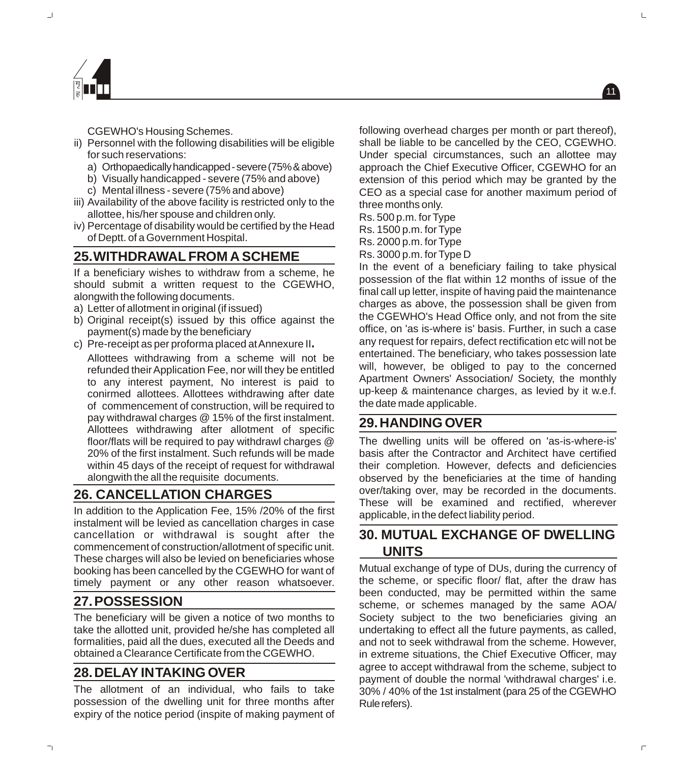

CGEWHO's Housing Schemes.

- ii) Personnel with the following disabilities will be eligible for such reservations:
	- a) Orthopaedicallyhandicapped-severe(75%&above)
	- b) Visually handicapped severe (75% and above)
	- c) Mental illness severe (75% and above)
- iii) Availability of the above facility is restricted only to the allottee, his/her spouse and children only.
- iv) Percentage of disability would be certified by the Head of Deptt. of a Government Hospital.

### **25.WITHDRAWAL FROM A SCHEME**

If a beneficiary wishes to withdraw from a scheme, he should submit a written request to the CGEWHO, alongwith the following documents.

- a) Letter of allotment in original (if issued)
- b) Original receipt(s) issued by this office against the payment(s) made by the beneficiary
- c) Pre-receipt as per proforma placed at Annexure II**.**

Allottees withdrawing from a scheme will not be refunded their Application Fee, nor will they be entitled to any interest payment, No interest is paid to conirmed allottees. Allottees withdrawing after date of commencement of construction, will be required to pay withdrawal charges @ 15% of the first instalment. Allottees withdrawing after allotment of specific floor/flats will be required to pay withdrawl charges @ 20% of the first instalment. Such refunds will be made within 45 days of the receipt of request for withdrawal alongwith the all the requisite documents.

### **26. CANCELLATION CHARGES**

In addition to the Application Fee, 15% /20% of the first instalment will be levied as cancellation charges in case cancellation or withdrawal is sought after the commencement of construction/allotment of specific unit. These charges will also be levied on beneficiaries whose booking has been cancelled by the CGEWHO for want of timely payment or any other reason whatsoever.

### **27.POSSESSION**

The beneficiary will be given a notice of two months to take the allotted unit, provided he/she has completed all formalities, paid all the dues, executed all the Deeds and obtained a Clearance Certificate from the CGEWHO.

### **28.DELAY IN TAKING OVER**

The allotment of an individual, who fails to take possession of the dwelling unit for three months after expiry of the notice period (inspite of making payment of following overhead charges per month or part thereof), shall be liable to be cancelled by the CEO, CGEWHO. Under special circumstances, such an allottee may approach the Chief Executive Officer, CGEWHO for an extension of this period which may be granted by the CEO as a special case for another maximum period of three months only.

Rs. 500 p.m. for Type

- Rs. 1500 p.m. for Type
- Rs. 2000 p.m. for Type
- Rs. 3000 p.m. for Type D

In the event of a beneficiary failing to take physical possession of the flat within 12 months of issue of the final call up letter, inspite of having paid the maintenance charges as above, the possession shall be given from the CGEWHO's Head Office only, and not from the site office, on 'as is-where is' basis. Further, in such a case any request for repairs, defect rectification etc will not be entertained. The beneficiary, who takes possession late will, however, be obliged to pay to the concerned Apartment Owners' Association/ Society, the monthly up-keep & maintenance charges, as levied by it w.e.f. the date made applicable.

### **29.HANDING OVER**

The dwelling units will be offered on 'as-is-where-is' basis after the Contractor and Architect have certified their completion. However, defects and deficiencies observed by the beneficiaries at the time of handing over/taking over, may be recorded in the documents. These will be examined and rectified, wherever applicable, in the defect liability period.

### **30. MUTUAL EXCHANGE OF DWELLING UNITS**

Mutual exchange of type of DUs, during the currency of the scheme, or specific floor/ flat, after the draw has been conducted, may be permitted within the same scheme, or schemes managed by the same AOA/ Society subject to the two beneficiaries giving an undertaking to effect all the future payments, as called, and not to seek withdrawal from the scheme. However, in extreme situations, the Chief Executive Officer, may agree to accept withdrawal from the scheme, subject to payment of double the normal 'withdrawal charges' i.e. 30% / 40% of the 1st instalment (para 25 of the CGEWHO Rule refers).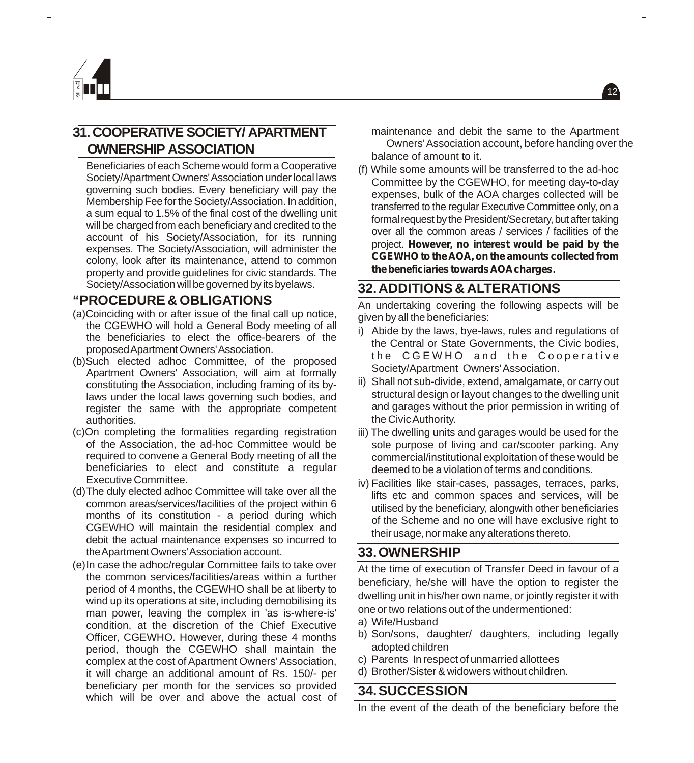

### **31. COOPERATIVE SOCIETY/ APARTMENT OWNERSHIP ASSOCIATION**

Beneficiaries of each Scheme would form a Cooperative Society/Apartment Owners' Association under local laws governing such bodies. Every beneficiary will pay the Membership Fee for the Society/Association. In addition, a sum equal to 1.5% of the final cost of the dwelling unit will be charged from each beneficiary and credited to the account of his Society/Association, for its running expenses. The Society/Association, will administer the colony, look after its maintenance, attend to common property and provide guidelines for civic standards. The Society/Association will be governed by its byelaws.

#### **"PROCEDURE & OBLIGATIONS**

- (a)Coinciding with or after issue of the final call up notice, the CGEWHO will hold a General Body meeting of all the beneficiaries to elect the office-bearers of the proposedApartmentOwners'Association.
- (b)Such elected adhoc Committee, of the proposed Apartment Owners' Association, will aim at formally constituting the Association, including framing of its bylaws under the local laws governing such bodies, and register the same with the appropriate competent authorities.
- (c)On completing the formalities regarding registration of the Association, the ad-hoc Committee would be required to convene a General Body meeting of all the beneficiaries to elect and constitute a regular Executive Committee.
- (d)The duly elected adhoc Committee will take over all the common areas/services/facilities of the project within 6 months of its constitution - a period during which CGEWHO will maintain the residential complex and debit the actual maintenance expenses so incurred to theApartmentOwners'Association account.
- (e)In case the adhoc/regular Committee fails to take over the common services/facilities/areas within a further period of 4 months, the CGEWHO shall be at liberty to wind up its operations at site, including demobilising its man power, leaving the complex in 'as is-where-is' condition, at the discretion of the Chief Executive Officer, CGEWHO. However, during these 4 months period, though the CGEWHO shall maintain the complex at the cost of Apartment Owners' Association, it will charge an additional amount of Rs. 150/- per beneficiary per month for the services so provided which will be over and above the actual cost of

maintenance and debit the same to the Apartment Owners' Association account, before handing over the balance of amount to it.

12

(f) While some amounts will be transferred to the ad-hoc Committee by the CGEWHO, for meeting day**-**to**-**day expenses, bulk of the AOA charges collected will be transferred to the regular Executive Committee only, on a formal request by the President/Secretary, but after taking over all the common areas / services / facilities of the project. **However, no interest would be paid by the CGEWHO to the AOA, on the amounts collected from thebeneficiariestowardsAOAcharges.** 

#### **32.ADDITIONS & ALTERATIONS**

An undertaking covering the following aspects will be given by all the beneficiaries:

- i) Abide by the laws, bye-laws, rules and regulations of the Central or State Governments, the Civic bodies, the CGEWHO and the Cooperative Society/Apartment Owners' Association.
- ii) Shall not sub-divide, extend, amalgamate, or carry out structural design or layout changes to the dwelling unit and garages without the prior permission in writing of the Civic Authority.
- iii) The dwelling units and garages would be used for the sole purpose of living and car/scooter parking. Any commercial/institutional exploitation of these would be deemed to be a violation of terms and conditions.
- iv) Facilities like stair-cases, passages, terraces, parks, lifts etc and common spaces and services, will be utilised by the beneficiary, alongwith other beneficiaries of the Scheme and no one will have exclusive right to their usage, nor make any alterations thereto.

#### **33.OWNERSHIP**

At the time of execution of Transfer Deed in favour of a beneficiary, he/she will have the option to register the dwelling unit in his/her own name, or jointly register it with one or two relations out of the undermentioned:

- a) Wife/Husband
- b) Son/sons, daughter/ daughters, including legally adopted children
- c) Parents In respect of unmarried allottees
- d) Brother/Sister & widowers without children.

### **34.SUCCESSION**

In the event of the death of the beneficiary before the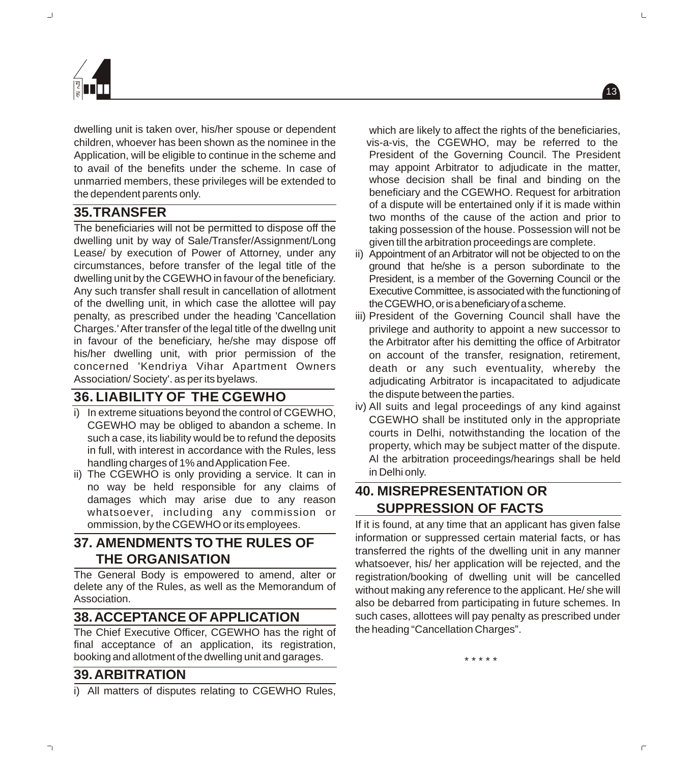





13



dwelling unit is taken over, his/her spouse or dependent children, whoever has been shown as the nominee in the Application, will be eligible to continue in the scheme and to avail of the benefits under the scheme. In case of unmarried members, these privileges will be extended to the dependent parents only.

#### **35.TRANSFER**

The beneficiaries will not be permitted to dispose off the dwelling unit by way of Sale/Transfer/Assignment/Long Lease/ by execution of Power of Attorney, under any circumstances, before transfer of the legal title of the dwelling unit by the CGEWHO in favour of the beneficiary. Any such transfer shall result in cancellation of allotment of the dwelling unit, in which case the allottee will pay penalty, as prescribed under the heading 'Cancellation Charges.' After transfer of the legal title of the dwellng unit in favour of the beneficiary, he/she may dispose off his/her dwelling unit, with prior permission of the concerned 'Kendriya Vihar Apartment Owners Association/ Society'. as per its byelaws.

### **36. LIABILITY OF THE CGEWHO**

- i) In extreme situations beyond the control of CGEWHO, CGEWHO may be obliged to abandon a scheme. In such a case, its liability would be to refund the deposits in full, with interest in accordance with the Rules, less handling charges of 1% and Application Fee.
- ii) The CGEWHO is only providing a service. It can in no way be held responsible for any claims of damages which may arise due to any reason whatsoever, including any commission or ommission, by the CGEWHO or its employees.

#### **37. AMENDMENTS TO THE RULES OF THE ORGANISATION**

The General Body is empowered to amend, alter or delete any of the Rules, as well as the Memorandum of Association.

#### **38.ACCEPTANCE OF APPLICATION**

The Chief Executive Officer, CGEWHO has the right of final acceptance of an application, its registration, booking and allotment of the dwelling unit and garages.

#### **39.ARBITRATION**

i) All matters of disputes relating to CGEWHO Rules,

which are likely to affect the rights of the beneficiaries, vis-a-vis, the CGEWHO, may be referred to the President of the Governing Council. The President may appoint Arbitrator to adjudicate in the matter, whose decision shall be final and binding on the beneficiary and the CGEWHO. Request for arbitration of a dispute will be entertained only if it is made within two months of the cause of the action and prior to taking possession of the house. Possession will not be given till the arbitration proceedings are complete.

- ii) Appointment of an Arbitrator will not be objected to on the ground that he/she is a person subordinate to the President, is a member of the Governing Council or the Executive Committee, is associated with the functioning of theCGEWHO,orisabeneficiaryofascheme.
- iii) President of the Governing Council shall have the privilege and authority to appoint a new successor to the Arbitrator after his demitting the office of Arbitrator on account of the transfer, resignation, retirement, death or any such eventuality, whereby the adjudicating Arbitrator is incapacitated to adjudicate the dispute between the parties.
- iv) All suits and legal proceedings of any kind against CGEWHO shall be instituted only in the appropriate courts in Delhi, notwithstanding the location of the property, which may be subject matter of the dispute. Al the arbitration proceedings/hearings shall be held in Delhi only.

## **40. MISREPRESENTATION OR SUPPRESSION OF FACTS**

If it is found, at any time that an applicant has given false information or suppressed certain material facts, or has transferred the rights of the dwelling unit in any manner whatsoever, his/ her application will be rejected, and the registration/booking of dwelling unit will be cancelled without making any reference to the applicant. He/ she will also be debarred from participating in future schemes. In such cases, allottees will pay penalty as prescribed under the heading "Cancellation Charges".

\* \* \* \* \*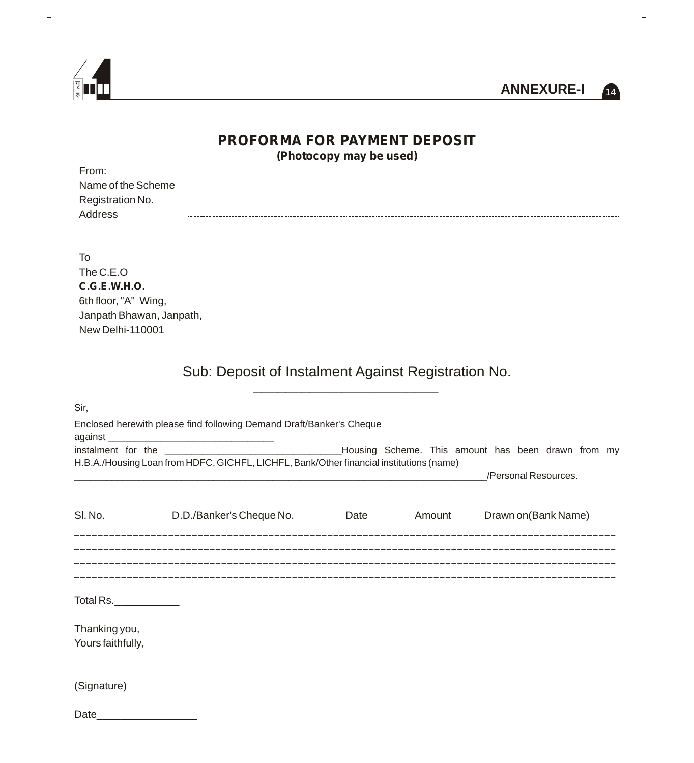



 $\sqsubseteq$ 

## **PROFORMA FOR PAYMENT DEPOSIT (Photocopy may be used)**

| From:              |  |
|--------------------|--|
| Name of the Scheme |  |
| Registration No.   |  |
| <b>Address</b>     |  |
|                    |  |

To

The C.E.O **C.G.E.W.H.O.** 6th floor, "A" Wing, Janpath Bhawan, Janpath, New Delhi-110001

> Sub: Deposit of Instalment Against Registration No. \_\_\_\_\_\_\_\_\_\_\_\_\_\_\_\_\_\_\_\_\_\_\_

| Sir,              |                                                                                         |      |        |                      |  |
|-------------------|-----------------------------------------------------------------------------------------|------|--------|----------------------|--|
|                   | Enclosed herewith please find following Demand Draft/Banker's Cheque                    |      |        |                      |  |
|                   |                                                                                         |      |        |                      |  |
|                   | H.B.A./Housing Loan from HDFC, GICHFL, LICHFL, Bank/Other financial institutions (name) |      |        |                      |  |
|                   |                                                                                         |      |        | /Personal Resources. |  |
| SI. No.           | D.D./Banker's Cheque No.                                                                | Date | Amount | Drawn on (Bank Name) |  |
|                   |                                                                                         |      |        |                      |  |
|                   |                                                                                         |      |        |                      |  |
|                   |                                                                                         |      |        |                      |  |
| Total Rs.         |                                                                                         |      |        |                      |  |
| Thanking you,     |                                                                                         |      |        |                      |  |
| Yours faithfully, |                                                                                         |      |        |                      |  |
| (Signature)       |                                                                                         |      |        |                      |  |
| Date              |                                                                                         |      |        |                      |  |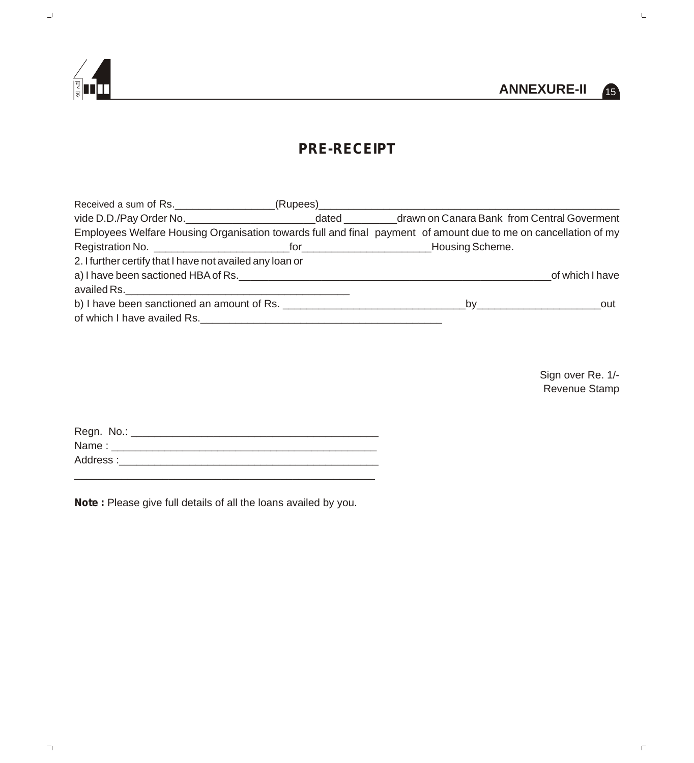



 $\sqsubseteq$ 

## **PRE-RECEIPT**

| Received a sum of Rs.                                                                                           | _(Rupees)____________ |                                                                                                                                                                                                                                |                 |
|-----------------------------------------------------------------------------------------------------------------|-----------------------|--------------------------------------------------------------------------------------------------------------------------------------------------------------------------------------------------------------------------------|-----------------|
| vide D.D./Pay Order No.                                                                                         | dated                 | drawn on Canara Bank from Central Goverment                                                                                                                                                                                    |                 |
| Employees Welfare Housing Organisation towards full and final payment of amount due to me on cancellation of my |                       |                                                                                                                                                                                                                                |                 |
|                                                                                                                 |                       |                                                                                                                                                                                                                                |                 |
| 2. I further certify that I have not availed any loan or                                                        |                       |                                                                                                                                                                                                                                |                 |
| a) I have been sactioned HBA of Rs.                                                                             |                       |                                                                                                                                                                                                                                | of which I have |
|                                                                                                                 |                       |                                                                                                                                                                                                                                |                 |
|                                                                                                                 |                       | by the contract of the contract of the contract of the contract of the contract of the contract of the contract of the contract of the contract of the contract of the contract of the contract of the contract of the contrac | out             |
| of which I have availed Rs. ____________________                                                                |                       |                                                                                                                                                                                                                                |                 |

Sign over Re. 1/- Revenue Stamp

| Regn. No.: |  |
|------------|--|
| Name:      |  |
| Address:   |  |

\_\_\_\_\_\_\_\_\_\_\_\_\_\_\_\_\_\_\_\_\_\_\_\_\_\_\_\_\_\_\_\_\_\_\_\_\_\_\_\_\_\_\_\_\_\_\_\_\_\_\_

**Note :** Please give full details of all the loans availed by you.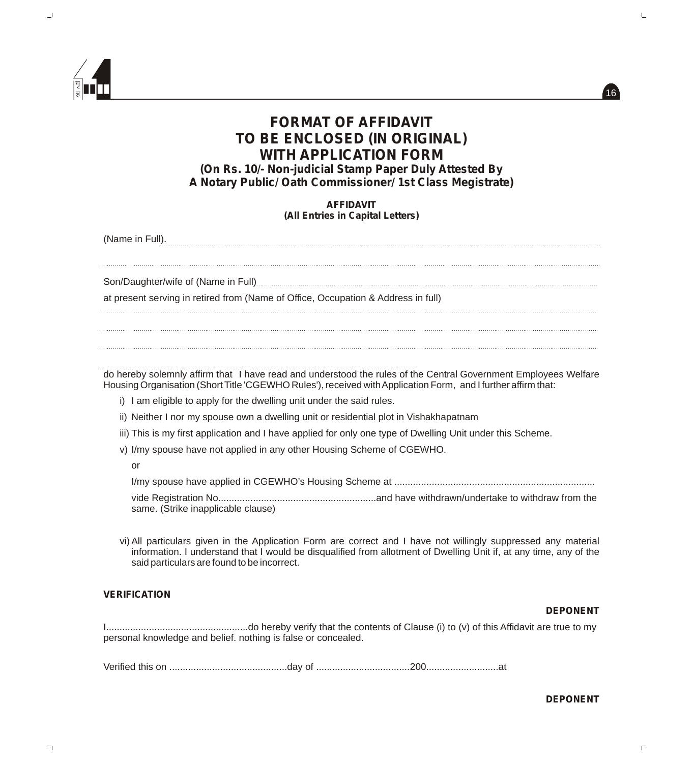

# **FORMAT OF AFFIDAVIT TO BE ENCLOSED (IN ORIGINAL) WITH APPLICATION FORM**

*(On Rs. 10/- Non-judicial Stamp Paper Duly Attested By A Notary Public/ Oath Commissioner/ 1st Class Megistrate)*

> **AFFIDAVIT** *(All Entries in Capital Letters)*

(Name in Full).

Son/Daughter/wife of (Name in Full)

at present serving in retired from (Name of Office, Occupation & Address in full)

do hereby solemnly affirm that I have read and understood the rules of the Central Government Employees Welfare Housing Organisation (Short Title 'CGEWHO Rules'), received with Application Form, and I further affirm that:

- i) I am eligible to apply for the dwelling unit under the said rules.
- ii) Neither I nor my spouse own a dwelling unit or residential plot in Vishakhapatnam
- iii) This is my first application and I have applied for only one type of Dwelling Unit under this Scheme.
- v) I/my spouse have not applied in any other Housing Scheme of CGEWHO.
	- or

I/my spouse have applied in CGEWHO's Housing Scheme at ...........................................................................

vide Registration No...........................................................and have withdrawn/undertake to withdraw from the same. (Strike inapplicable clause)

vi)All particulars given in the Application Form are correct and I have not willingly suppressed any material information. I understand that I would be disqualified from allotment of Dwelling Unit if, at any time, any of the said particulars are found to be incorrect.

#### **VERIFICATION**

#### **DEPONENT**

 $16$ 

I.....................................................do hereby verify that the contents of Clause (i) to (v) of this Affidavit are true to my personal knowledge and belief. nothing is false or concealed.

Verified this on ............................................day of ...................................200...........................at

**DEPONENT**

П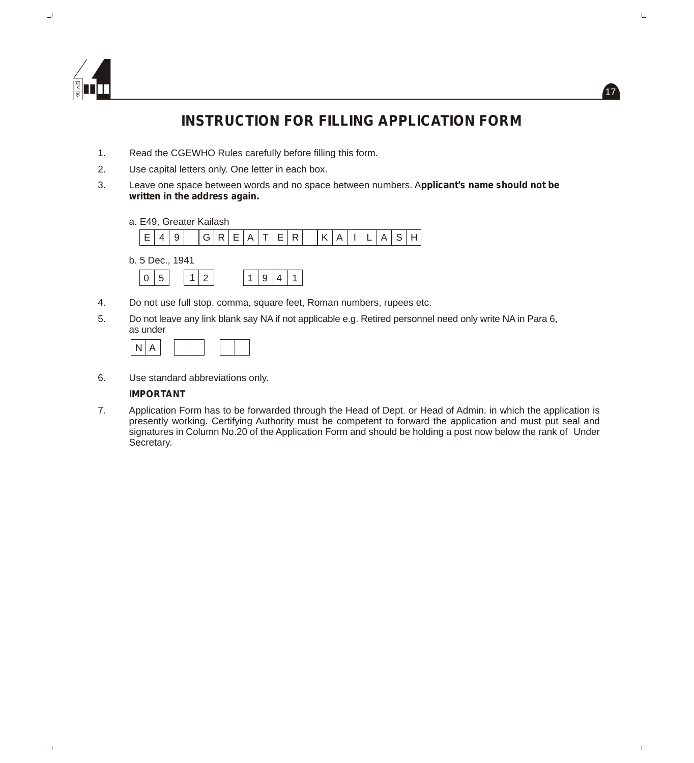

# **INSTRUCTION FOR FILLING APPLICATION FORM**

17

 $\sqsubseteq$ 

 $\Box$ 

- 1. Read the CGEWHO Rules carefully before filling this form.
- 2. Use capital letters only. One letter in each box.
- 3. Leave one space between words and no space between numbers. A**pplicant's name should not be written in the address again.**
	- a. E49, Greater Kailash b. 5 Dec., 1941  $E |4 |9 | |G |R |E |A |T |E |R | |K |A |I |L |A |S |H$  $0 \mid 5 \mid 1 \mid 2 \mid 1 \mid 9 \mid 4 \mid 1$ 1
- 4. Do not use full stop. comma, square feet, Roman numbers, rupees etc.
- 5. Do not leave any link blank say NA if not applicable e.g. Retired personnel need only write NA in Para 6, as under

6. Use standard abbreviations only.

#### **IMPORTANT**

7. Application Form has to be forwarded through the Head of Dept. or Head of Admin. in which the application is presently working. Certifying Authority must be competent to forward the application and must put seal and signatures in Column No.20 of the Application Form and should be holding a post now below the rank of Under Secretary.

F.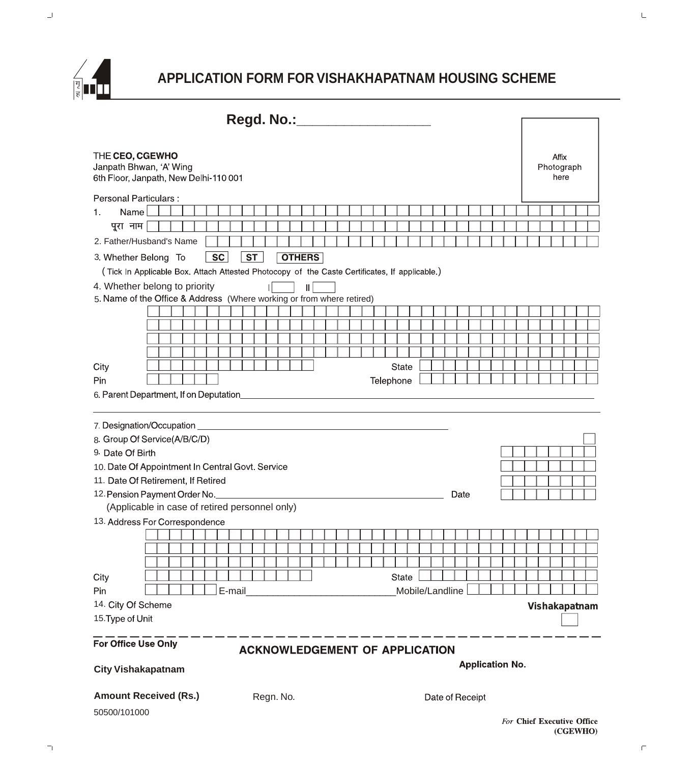

# **APPLICATION FORM FOR VISHAKHAPATNAM HOUSING SCHEME**

| Regd. No.:                                                                                                            |  |               |               |  |
|-----------------------------------------------------------------------------------------------------------------------|--|---------------|---------------|--|
| THE CEO, CGEWHO<br>Janpath Bhwan, 'A' Wing<br>6th Floor, Janpath, New Delhi-110 001                                   |  | Photograph    | Affix<br>here |  |
| <b>Personal Particulars:</b>                                                                                          |  |               |               |  |
| Name<br>1.                                                                                                            |  |               |               |  |
| पूरा नाम                                                                                                              |  |               |               |  |
| 2. Father/Husband's Name                                                                                              |  |               |               |  |
| <b>SC</b><br><b>ST</b><br><b>OTHERS</b><br>3 Whether Belong To                                                        |  |               |               |  |
| (Tick In Applicable Box. Attach Attested Photocopy of the Caste Certificates, If applicable.)                         |  |               |               |  |
| 4. Whether belong to priority<br>$\parallel$<br>5. Name of the Office & Address (Where working or from where retired) |  |               |               |  |
|                                                                                                                       |  |               |               |  |
|                                                                                                                       |  |               |               |  |
|                                                                                                                       |  |               |               |  |
|                                                                                                                       |  |               |               |  |
| City<br><b>State</b>                                                                                                  |  |               |               |  |
| Telephone<br>Pin                                                                                                      |  |               |               |  |
| 6. Parent Department, If on Deputation____________                                                                    |  |               |               |  |
|                                                                                                                       |  |               |               |  |
| 7. Designation/Occupation                                                                                             |  |               |               |  |
| 8. Group Of Service(A/B/C/D)                                                                                          |  |               |               |  |
|                                                                                                                       |  |               |               |  |
|                                                                                                                       |  |               |               |  |
| 9 Date Of Birth                                                                                                       |  |               |               |  |
| 10. Date Of Appointment In Central Govt. Service                                                                      |  |               |               |  |
| 11. Date Of Retirement, If Retired<br>Date                                                                            |  |               |               |  |
| 12. Pension Payment Order No.                                                                                         |  |               |               |  |
| (Applicable in case of retired personnel only)                                                                        |  |               |               |  |
| 13. Address For Correspondence                                                                                        |  |               |               |  |
|                                                                                                                       |  |               |               |  |
|                                                                                                                       |  |               |               |  |
| State                                                                                                                 |  |               |               |  |
| City<br>Pin<br>Mobile/Landline                                                                                        |  |               |               |  |
| E-mail<br>14. City Of Scheme                                                                                          |  |               |               |  |
| 15. Type of Unit                                                                                                      |  | Vishakapatnam |               |  |
|                                                                                                                       |  |               |               |  |
| For Office Use Only<br><b>ACKNOWLEDGEMENT OF APPLICATION</b>                                                          |  |               |               |  |
| <b>Application No.</b><br><b>City Vishakapatnam</b>                                                                   |  |               |               |  |
|                                                                                                                       |  |               |               |  |
| <b>Amount Received (Rs.)</b><br>Regn. No.<br>Date of Receipt                                                          |  |               |               |  |

 $\bar{\Box}$